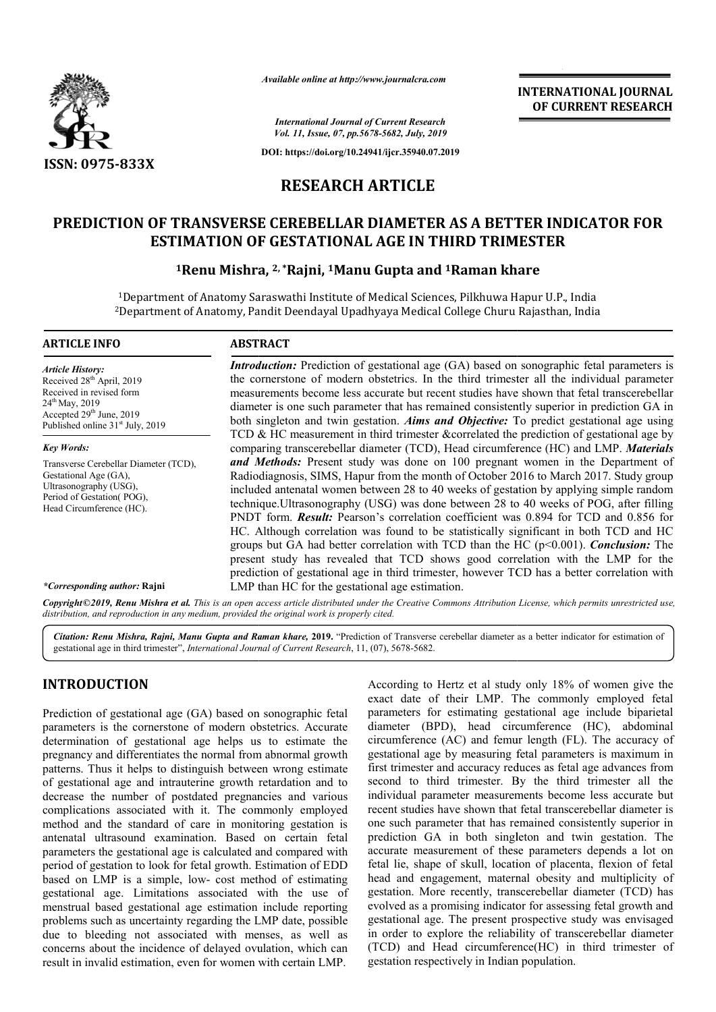

*Available online at http://www.journalcra.com*

**INTERNATIONAL JOURNAL OF CURRENT RESEARCH**

*International Journal of Current Research Vol. 11, Issue, 07, pp.5678-5682, July, 2019*

**DOI: https://doi.org/10.24941/ijcr.35940.07.2019**

## **RESEARCH ARTICLE**

# PREDICTION OF TRANSVERSE CEREBELLAR DIAMETER AS A BETTER INDICATOR FOR<br>ESTIMATION OF GESTATIONAL AGE IN THIRD TRIMESTER<br><sup>1</sup>Renu Mishra, <sup>2, \*</sup>Rajni, <sup>1</sup>Manu Gupta and <sup>1</sup>Raman khare **ESTIMATION OF GESTATIONAL AGE IN THIRD TRIMESTER**

## <sup>1</sup> Renu Mishra, <sup>2,</sup> \*Rajni, <sup>1</sup> Manu Gupta and <sup>1</sup> Raman khare

<sup>1</sup>Department of Anatomy Saraswathi Institute of Medical Sciences, Pilkhuwa Hapur U.P., India <sup>1</sup>Department of Anatomy Saraswathi Institute of Medical Sciences, Pilkhuwa Hapur U.P., India<br><sup>2</sup>Department of Anatomy, Pandit Deendayal Upadhyaya Medical College Churu Rajasthan, India

## **ARTICLE INFO ABSTRACT**

*Article History:* Received 28<sup>th</sup> April, 2019 Received in revised form 24<sup>th</sup> May, 2019 Accepted 29<sup>th</sup> June, 2019 Published online 31<sup>st</sup> July, 2019

*Key Words:* Transverse Cerebellar Diameter (TCD), Gestational Age (GA), Ultrasonography (USG), Period of Gestation(POG) Head Circumference (HC).

*Introduction*: Prediction of gestational age (GA) based on sonographic fetal parameters is Introduction: Prediction of gestational age (GA) based on sonographic fetal parameters is the cornerstone of modern obstetrics. In the third trimester all the individual parameter measurements become less accurate but recent studies have shown that fetal transcerebellar diameter is one such parameter that has remained consistently superior in prediction GA in both singleton and twin gestation. *Aims and Objective:* To pre TCD & HC measurement in third trimester &correlated the prediction of gestational age by TCD & HC measurement in third trimester &correlated the prediction of gestational age by comparing transcerebellar diameter (TCD), Head circumference (HC) and LMP. *Materials* and Methods: Present study was done on 100 pregnant women in the Department of Radiodiagnosis, SIMS, Hapur from the month of October 2016 to March 2017. Study group included antenatal women between 28 to 40 weeks of gestation by applying simple random Radiodiagnosis, SIMS, Hapur from the month of October 2016 to March 2017. Study group included antenatal women between 28 to 40 weeks of gestation by applying simple random technique.Ultrasonography (USG) was done between PNDT form. *Result:* Pearson's correlation coefficient was 0.894 for TCD and 0.856 for PNDT form. **Result:** Pearson's correlation coefficient was 0.894 for TCD and 0.856 for HC. Although correlation was found to be statistically significant in both TCD and HC groups but GA had better correlation with TCD than the HC (p<0.001). *Conclusion:* The present study has revealed that TCD shows good correlation with the LMP for the present study has revealed that TCD shows good correlation with the LMP for the prediction of gestational age in third trimester, however TCD has a better correlation with LMP than HC for the gestational age estimation. measurements become less accurate but recent studies have shown that fetal transcerebellar diameter is one such parameter that has remained consistently superior in prediction GA in both singleton and twin gestation. *Aims* 

*\*Corresponding author:* **Rajni**

Copyright©2019, Renu Mishra et al. This is an open access article distributed under the Creative Commons Attribution License, which permits unrestricted use, *distribution, and reproduction in any medium, provided the original work is properly cited.*

Citation: Renu Mishra, Rajni, Manu Gupta and Raman khare, 2019. "Prediction of Transverse cerebellar diameter as a better indicator for estimation of gestational age in third trimester", *International Journal of Current Research* , 11, (07), 5678-5682.

## **INTRODUCTION**

Prediction of gestational age (GA) based on sonographic fetal parameters is the cornerstone of modern obstetrics. Accurate determination of gestational age helps us to estimate the pregnancy and differentiates the normal from abnormal growth patterns. Thus it helps to distinguish between wrong estimate of gestational age and intrauterine growth retardation and to decrease the number of postdated pregnancies and various complications associated with it. The commonly employed method and the standard of care in monitoring gestation is antenatal ultrasound examination. Based on certain fetal parameters the gestational age is calculated and compared with period of gestation to look for fetal growth. Estimation of EDD based on LMP is a simple, low- cost method of estimating gestational age. Limitations associated with the use of menstrual based gestational age estimation inc problems such as uncertainty regarding the LMP date, possible due to bleeding not associated with menses, as well as concerns about the incidence of delayed ovulation, which can result in invalid estimation, even for women with certain LMP. rease the number of postdated pregnancies and various<br>nplications associated with it. The commonly employed<br>thod and the standard of care in monitoring gestation is<br>ennatal ultrasound examination. Based on certain fetal<br>am According to Hertz et al study only 18% of women give the exact date of their LMP. The commonly employed fetal parameters for estimating gestational age include biparietal diameter (BPD), head circumference (HC), abdominal circumference (AC) and femur length (FL). The accuracy of gestational age by measuring fetal parameters is maximum in first trimester and accuracy reduces as fetal age advances from second to third trimester. By the third trimester all the first trimester and accuracy reduces as fetal age advances from second to third trimester. By the third trimester all the individual parameter measurements become less accurate but recent studies have shown that fetal transcerebellar diameter is one such parameter that has remained consistently superior in recent studies have shown that fetal transcerebellar diameter is<br>one such parameter that has remained consistently superior in<br>prediction GA in both singleton and twin gestation. The accurate measurement of these parameters depends a lot on fetal lie, shape of skull, location of placenta, flexion of fetal head and engagement, maternal obesity and multiplicity of gestation. More recently, transcerebellar diameter (TCD) has evolved as a promising indicator for assessing fetal growth and gestational age. The present prospective study was envisaged in order to explore the reliability of transcerebellar diameter (TCD) and Head circumference(HC) in third trimester of gestation respectively in Indian population. exact date of their LMP. The commonly employed fetal<br>parameters for estimating gestational age include biparietal<br>diameter (BPD), head circumference (HC), abdominal<br>circumference (AC) and femur length (FL). The accuracy of etal shape transcerebellar promising and present population.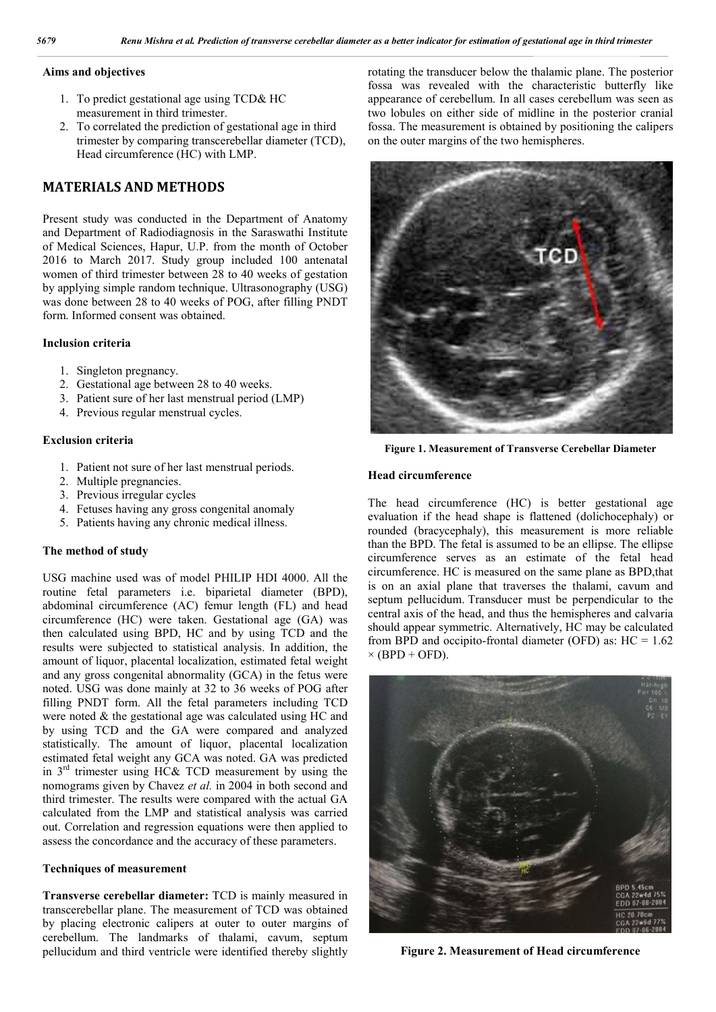#### **Aims and objectives**

- 1. To predict gestational age using TCD& HC measurement in third trimester.
- 2. To correlated the prediction of gestational age in third trimester by comparing transcerebellar diameter (TCD), Head circumference (HC) with LMP.

## **MATERIALS AND METHODS**

Present study was conducted in the Department of Anatomy and Department of Radiodiagnosis in the Saraswathi Institute of Medical Sciences, Hapur, U.P. from the month of October 2016 to March 2017. Study group included 100 antenatal women of third trimester between 28 to 40 weeks of gestation by applying simple random technique. Ultrasonography (USG) was done between 28 to 40 weeks of POG, after filling PNDT form. Informed consent was obtained.

#### **Inclusion criteria**

- 1. Singleton pregnancy.
- 2. Gestational age between 28 to 40 weeks.
- 3. Patient sure of her last menstrual period (LMP)
- 4. Previous regular menstrual cycles.

#### **Exclusion criteria**

- 1. Patient not sure of her last menstrual periods.
- 2. Multiple pregnancies.
- 3. Previous irregular cycles
- 4. Fetuses having any gross congenital anomaly
- 5. Patients having any chronic medical illness.

#### **The method of study**

USG machine used was of model PHILIP HDI 4000. All the routine fetal parameters i.e. biparietal diameter (BPD), abdominal circumference (AC) femur length (FL) and head circumference (HC) were taken. Gestational age (GA) was then calculated using BPD, HC and by using TCD and the results were subjected to statistical analysis. In addition, the amount of liquor, placental localization, estimated fetal weight and any gross congenital abnormality (GCA) in the fetus were noted. USG was done mainly at 32 to 36 weeks of POG after filling PNDT form. All the fetal parameters including TCD were noted & the gestational age was calculated using HC and by using TCD and the GA were compared and analyzed statistically. The amount of liquor, placental localization estimated fetal weight any GCA was noted. GA was predicted in 3rd trimester using HC& TCD measurement by using the nomograms given by Chavez *et al.* in 2004 in both second and third trimester. The results were compared with the actual GA calculated from the LMP and statistical analysis was carried out. Correlation and regression equations were then applied to assess the concordance and the accuracy of these parameters.

#### **Techniques of measurement**

**Transverse cerebellar diameter:** TCD is mainly measured in transcerebellar plane. The measurement of TCD was obtained by placing electronic calipers at outer to outer margins of cerebellum. The landmarks of thalami, cavum, septum pellucidum and third ventricle were identified thereby slightly

rotating the transducer below the thalamic plane. The posterior fossa was revealed with the characteristic butterfly like appearance of cerebellum. In all cases cerebellum was seen as two lobules on either side of midline in the posterior cranial fossa. The measurement is obtained by positioning the calipers on the outer margins of the two hemispheres.



**Figure 1. Measurement of Transverse Cerebellar Diameter**

#### **Head circumference**

The head circumference (HC) is better gestational age evaluation if the head shape is flattened (dolichocephaly) or rounded (bracycephaly), this measurement is more reliable than the BPD. The fetal is assumed to be an ellipse. The ellipse circumference serves as an estimate of the fetal head circumference. HC is measured on the same plane as BPD,that is on an axial plane that traverses the thalami, cavum and septum pellucidum. Transducer must be perpendicular to the central axis of the head, and thus the hemispheres and calvaria should appear symmetric. Alternatively, HC may be calculated from BPD and occipito-frontal diameter (OFD) as:  $HC = 1.62$  $\times$  (BPD + OFD).



**Figure 2. Measurement of Head circumference**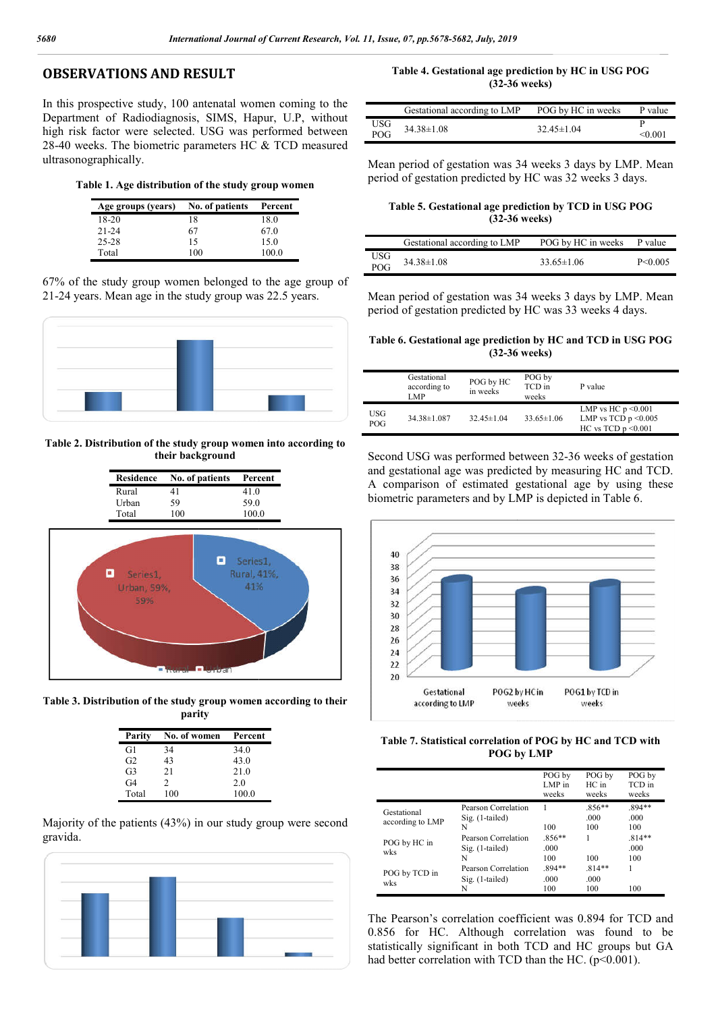### **OBSERVATIONS AND RESULT**

In this prospective study, 100 antenatal women coming to the Department of Radiodiagnosis, SIMS, Hapur, U.P, without high risk factor were selected. USG was performed between 28-40 weeks. The biometric parameters HC & TCD measured ultrasonographically. **ISSERVATIONS AND RESULT**<br>
22-36 weeks<br>
23-26 weeks<br>
23-26 weeks<br>
23-26 weeks<br>
24 Age groups (i.estational according to LMP POG by HC in weeks<br>
24 Years. The biometric parameters HC & TCD measured<br>
40 weeks. The biometric

**Table 1. Age distribution of the study group women**

| Age groups (years) | No. of patients | Percent |
|--------------------|-----------------|---------|
| $18-20$            | 18              | 18.0    |
| $21 - 24$          | 67              | 67.0    |
| $25 - 28$          | 15              | 15.0    |
| Total              | 100             | 100.0   |

67% of the study group women belonged to the age group of 21-24 years. Mean age in the study group was 22.5 years.



**Table 2. Distribution of the study group women into according to their background**



**LESSE** 

**Table 3. Distribution of the study group women according to their parity**

| Parity         | No. of women | Percent |
|----------------|--------------|---------|
| G1             | 34           | 34.0    |
| G <sub>2</sub> | 43           | 43.0    |
| G <sub>3</sub> | 21           | 21.0    |
| G4             | 2            | 2.0     |
| Total          | 100          | 100.0   |

Majority of the patients (43%) in our study group were second gravida.



**(32-36 weeks)** Table 4. Gestational age prediction by HC in USG POG

|            | Gestational according to LMP | POG by HC in weeks | P value |
|------------|------------------------------|--------------------|---------|
| USG        | $34.38 \pm 1.08$             | $32.45 \pm 1.04$   |         |
| <b>POG</b> |                              |                    | <0.001  |

Mean period of gestation was 34 weeks 3 days by LMP. Mean period of gestation predicted by HC was 32 weeks 3 days.

Table 5. Gestational age prediction by TCD in USG POG **(32-36** weeks) **(32-36 weeks)**

|            | Gestational according to LMP | POG by HC in weeks | P value       |
|------------|------------------------------|--------------------|---------------|
| USG<br>POG | $34.38 \pm 1.08$             | $33.65 \pm 1.06$   | $P \le 0.005$ |

Mean period of gestation was 34 weeks 3 days by LMP. Mean period of gestation predicted by HC was 33 weeks 4 days.

Table 6. Gestational age prediction by HC and TCD in USG POG **(32-36** weeks) **(32-36 weeks)**

|                   | Gestational<br>according to<br>LMP | POG by HC<br>in weeks | POG by<br>TCD in<br>weeks | P value                                                                        |
|-------------------|------------------------------------|-----------------------|---------------------------|--------------------------------------------------------------------------------|
| USG<br><b>POG</b> | 34.38±1.087                        | $32.45 \pm 1.04$      | $33.65 \pm 1.06$          | LMP vs HC $p \le 0.001$<br>LMP vs TCD $p \le 0.005$<br>HC vs TCD $p \le 0.001$ |

Second USG was performed between 32-36 weeks of gestation and gestational age was predicted by measuring HC and TCD. and gestational age was predicted by measuring HC and TCD.<br>A comparison of estimated gestational age by using these biometric parameters and by LMP is depicted in Table 6.



**Table 7. Statistical correlation of POG by HC and TCD with POG by POG by LMP**

|                                 |                     | POG by<br>LMP in<br>weeks | POG by<br>HC in<br>weeks | POG by<br>TCD in<br>weeks |
|---------------------------------|---------------------|---------------------------|--------------------------|---------------------------|
| Gestational<br>according to LMP | Pearson Correlation |                           | $.856**$                 | $.894**$                  |
|                                 | $Sig.$ (1-tailed)   |                           | .000                     | .000                      |
|                                 | N                   | 100                       | 100                      | 100                       |
| POG by HC in<br>wks             | Pearson Correlation | $.856**$                  |                          | $.814**$                  |
|                                 | $Sig. (1-tailed)$   | .000                      |                          | .000                      |
|                                 | N                   | 100                       | 100                      | 100                       |
| POG by TCD in<br>wks            | Pearson Correlation | $.894**$                  | $.814**$                 |                           |
|                                 | $Sig. (1-tailed)$   | .000                      | .000                     |                           |
|                                 | N                   | 100                       | 100                      | 100                       |

The Pearson's correlation coefficient was 0.894 for TCD and 0.856 for HC. Although correlation was found to be statistically significant in both TCD and HC groups but GA had better correlation with TCD than the HC. (p<0.001). Pearson's correlation coefficient was 0.894 for TCD and<br>6 for HC. Although correlation was found to be<br>stically significant in both TCD and HC groups but GA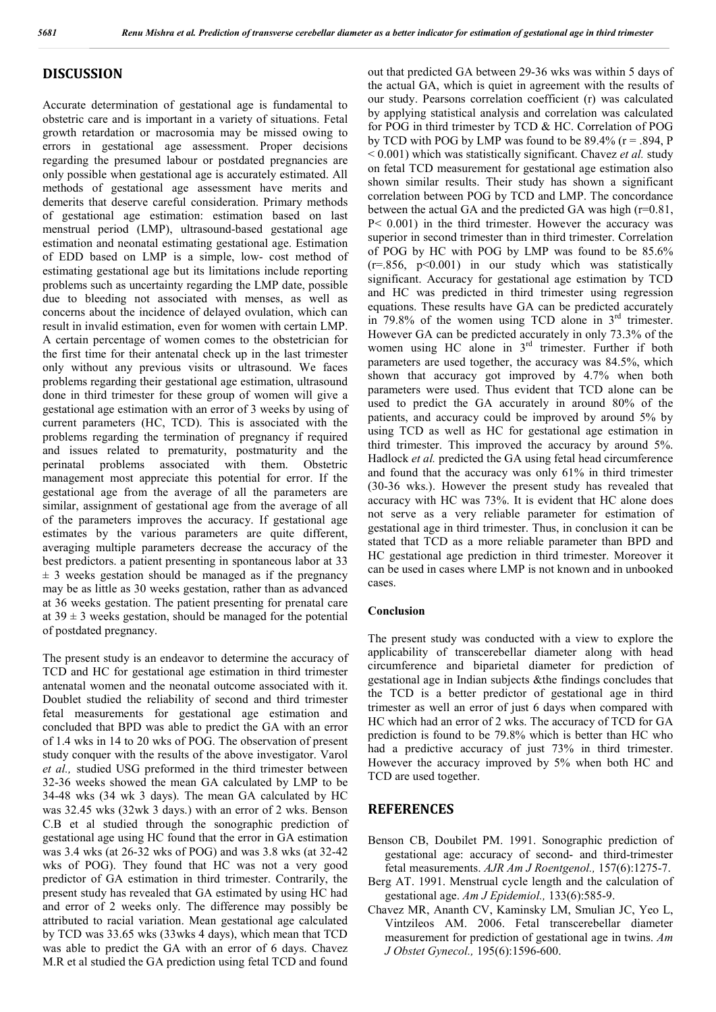#### **DISCUSSION**

Accurate determination of gestational age is fundamental to obstetric care and is important in a variety of situations. Fetal growth retardation or macrosomia may be missed owing to errors in gestational age assessment. Proper decisions regarding the presumed labour or postdated pregnancies are only possible when gestational age is accurately estimated. All methods of gestational age assessment have merits and demerits that deserve careful consideration. Primary methods of gestational age estimation: estimation based on last menstrual period (LMP), ultrasound-based gestational age estimation and neonatal estimating gestational age. Estimation of EDD based on LMP is a simple, low- cost method of estimating gestational age but its limitations include reporting problems such as uncertainty regarding the LMP date, possible due to bleeding not associated with menses, as well as concerns about the incidence of delayed ovulation, which can result in invalid estimation, even for women with certain LMP. A certain percentage of women comes to the obstetrician for the first time for their antenatal check up in the last trimester only without any previous visits or ultrasound. We faces problems regarding their gestational age estimation, ultrasound done in third trimester for these group of women will give a gestational age estimation with an error of 3 weeks by using of current parameters (HC, TCD). This is associated with the problems regarding the termination of pregnancy if required and issues related to prematurity, postmaturity and the perinatal problems associated with them. Obstetric management most appreciate this potential for error. If the gestational age from the average of all the parameters are similar, assignment of gestational age from the average of all of the parameters improves the accuracy. If gestational age estimates by the various parameters are quite different, averaging multiple parameters decrease the accuracy of the best predictors. a patient presenting in spontaneous labor at 33  $\pm$  3 weeks gestation should be managed as if the pregnancy may be as little as 30 weeks gestation, rather than as advanced at 36 weeks gestation. The patient presenting for prenatal care at  $39 \pm 3$  weeks gestation, should be managed for the potential of postdated pregnancy.

The present study is an endeavor to determine the accuracy of TCD and HC for gestational age estimation in third trimester antenatal women and the neonatal outcome associated with it. Doublet studied the reliability of second and third trimester fetal measurements for gestational age estimation and concluded that BPD was able to predict the GA with an error of 1.4 wks in 14 to 20 wks of POG. The observation of present study conquer with the results of the above investigator. Varol *et al.,* studied USG preformed in the third trimester between 32-36 weeks showed the mean GA calculated by LMP to be 34-48 wks (34 wk 3 days). The mean GA calculated by HC was 32.45 wks (32wk 3 days.) with an error of 2 wks. Benson C.B et al studied through the sonographic prediction of gestational age using HC found that the error in GA estimation was 3.4 wks (at 26-32 wks of POG) and was 3.8 wks (at 32-42 wks of POG). They found that HC was not a very good predictor of GA estimation in third trimester. Contrarily, the present study has revealed that GA estimated by using HC had and error of 2 weeks only. The difference may possibly be attributed to racial variation. Mean gestational age calculated by TCD was 33.65 wks (33wks 4 days), which mean that TCD was able to predict the GA with an error of 6 days. Chavez M.R et al studied the GA prediction using fetal TCD and found

out that predicted GA between 29-36 wks was within 5 days of the actual GA, which is quiet in agreement with the results of our study. Pearsons correlation coefficient (r) was calculated by applying statistical analysis and correlation was calculated for POG in third trimester by TCD & HC. Correlation of POG by TCD with POG by LMP was found to be  $89.4\%$  ( $r = .894$ , P < 0.001) which was statistically significant. Chavez *et al.* study on fetal TCD measurement for gestational age estimation also shown similar results. Their study has shown a significant correlation between POG by TCD and LMP. The concordance between the actual GA and the predicted GA was high (r=0.81, P< 0.001) in the third trimester. However the accuracy was superior in second trimester than in third trimester. Correlation of POG by HC with POG by LMP was found to be 85.6%  $(r=.856, p<0.001)$  in our study which was statistically significant. Accuracy for gestational age estimation by TCD and HC was predicted in third trimester using regression equations. These results have GA can be predicted accurately in 79.8% of the women using TCD alone in  $3<sup>rd</sup>$  trimester. However GA can be predicted accurately in only 73.3% of the women using HC alone in 3<sup>rd</sup> trimester. Further if both parameters are used together, the accuracy was 84.5%, which shown that accuracy got improved by 4.7% when both parameters were used. Thus evident that TCD alone can be used to predict the GA accurately in around 80% of the patients, and accuracy could be improved by around 5% by using TCD as well as HC for gestational age estimation in third trimester. This improved the accuracy by around 5%. Hadlock *et al.* predicted the GA using fetal head circumference and found that the accuracy was only 61% in third trimester (30-36 wks.). However the present study has revealed that accuracy with HC was 73%. It is evident that HC alone does not serve as a very reliable parameter for estimation of gestational age in third trimester. Thus, in conclusion it can be stated that TCD as a more reliable parameter than BPD and HC gestational age prediction in third trimester. Moreover it can be used in cases where LMP is not known and in unbooked cases.

#### **Conclusion**

The present study was conducted with a view to explore the applicability of transcerebellar diameter along with head circumference and biparietal diameter for prediction of gestational age in Indian subjects &the findings concludes that the TCD is a better predictor of gestational age in third trimester as well an error of just 6 days when compared with HC which had an error of 2 wks. The accuracy of TCD for GA prediction is found to be 79.8% which is better than HC who had a predictive accuracy of just 73% in third trimester. However the accuracy improved by 5% when both HC and TCD are used together.

#### **REFERENCES**

- Benson CB, Doubilet PM. 1991. Sonographic prediction of gestational age: accuracy of second- and third-trimester fetal measurements. *AJR Am J Roentgenol.,* 157(6):1275-7.
- Berg AT. 1991. Menstrual cycle length and the calculation of gestational age. *Am J Epidemiol.,* 133(6):585-9.
- Chavez MR, Ananth CV, Kaminsky LM, Smulian JC, Yeo L, Vintzileos AM. 2006. Fetal transcerebellar diameter measurement for prediction of gestational age in twins. *Am J Obstet Gynecol.,* 195(6):1596-600.